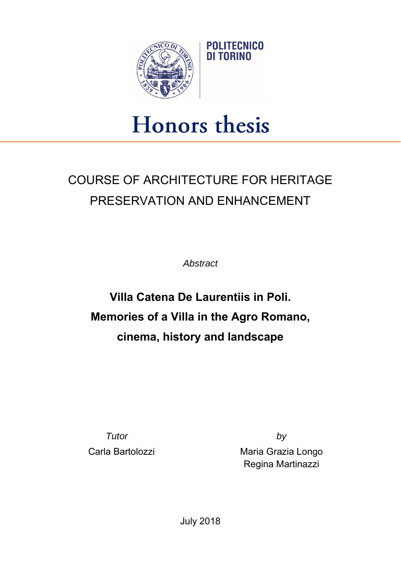

## **Honors** thesis

## COURSE OF ARCHITECTURE FOR HERITAGE PRESERVATION AND ENHANCEMENT

*Abstract* 

## **Villa Catena De Laurentiis in Poli. Memories of a Villa in the Agro Romano, cinema, history and landscape**

*Tutor by*

Carla Bartolozzi **Maria Grazia Longo** Regina Martinazzi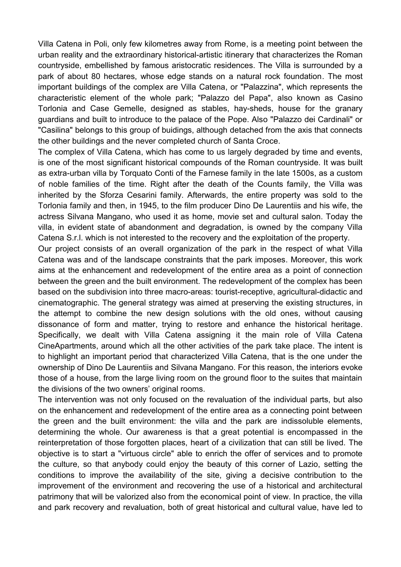Villa Catena in Poli, only few kilometres away from Rome, is a meeting point between the urban reality and the extraordinary historical-artistic itinerary that characterizes the Roman countryside, embellished by famous aristocratic residences. The Villa is surrounded by a park of about 80 hectares, whose edge stands on a natural rock foundation. The most important buildings of the complex are Villa Catena, or "Palazzina", which represents the characteristic element of the whole park; "Palazzo del Papa", also known as Casino Torlonia and Case Gemelle, designed as stables, hay-sheds, house for the granary guardians and built to introduce to the palace of the Pope. Also "Palazzo dei Cardinali" or "Casilina" belongs to this group of buidings, although detached from the axis that connects the other buildings and the never completed church of Santa Croce.

The complex of Villa Catena, which has come to us largely degraded by time and events, is one of the most significant historical compounds of the Roman countryside. It was built as extra-urban villa by Torquato Conti of the Farnese family in the late 1500s, as a custom of noble families of the time. Right after the death of the Counts family, the Villa was inherited by the Sforza Cesarini family. Afterwards, the entire property was sold to the Torlonia family and then, in 1945, to the film producer Dino De Laurentiis and his wife, the actress Silvana Mangano, who used it as home, movie set and cultural salon. Today the villa, in evident state of abandonment and degradation, is owned by the company Villa Catena S.r.l. which is not interested to the recovery and the exploitation of the property.

Our project consists of an overall organization of the park in the respect of what Villa Catena was and of the landscape constraints that the park imposes. Moreover, this work aims at the enhancement and redevelopment of the entire area as a point of connection between the green and the built environment. The redevelopment of the complex has been based on the subdivision into three macro-areas: tourist-receptive, agricultural-didactic and cinematographic. The general strategy was aimed at preserving the existing structures, in the attempt to combine the new design solutions with the old ones, without causing dissonance of form and matter, trying to restore and enhance the historical heritage. Specifically, we dealt with Villa Catena assigning it the main role of Villa Catena CineApartments, around which all the other activities of the park take place. The intent is to highlight an important period that characterized Villa Catena, that is the one under the ownership of Dino De Laurentiis and Silvana Mangano. For this reason, the interiors evoke those of a house, from the large living room on the ground floor to the suites that maintain the divisions of the two owners' original rooms.

The intervention was not only focused on the revaluation of the individual parts, but also on the enhancement and redevelopment of the entire area as a connecting point between the green and the built environment: the villa and the park are indissoluble elements, determining the whole. Our awareness is that a great potential is encompassed in the reinterpretation of those forgotten places, heart of a civilization that can still be lived. The objective is to start a "virtuous circle" able to enrich the offer of services and to promote the culture, so that anybody could enjoy the beauty of this corner of Lazio, setting the conditions to improve the availability of the site, giving a decisive contribution to the improvement of the environment and recovering the use of a historical and architectural patrimony that will be valorized also from the economical point of view. In practice, the villa and park recovery and revaluation, both of great historical and cultural value, have led to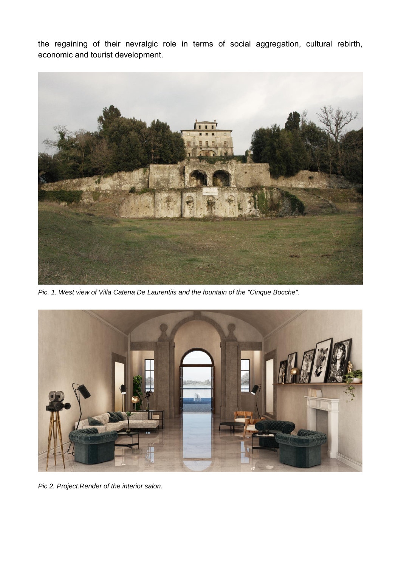the regaining of their nevralgic role in terms of social aggregation, cultural rebirth, economic and tourist development.



*Pic. 1. West view of Villa Catena De Laurentiis and the fountain of the "Cinque Bocche".* 



*Pic 2. Project.Render of the interior salon.*